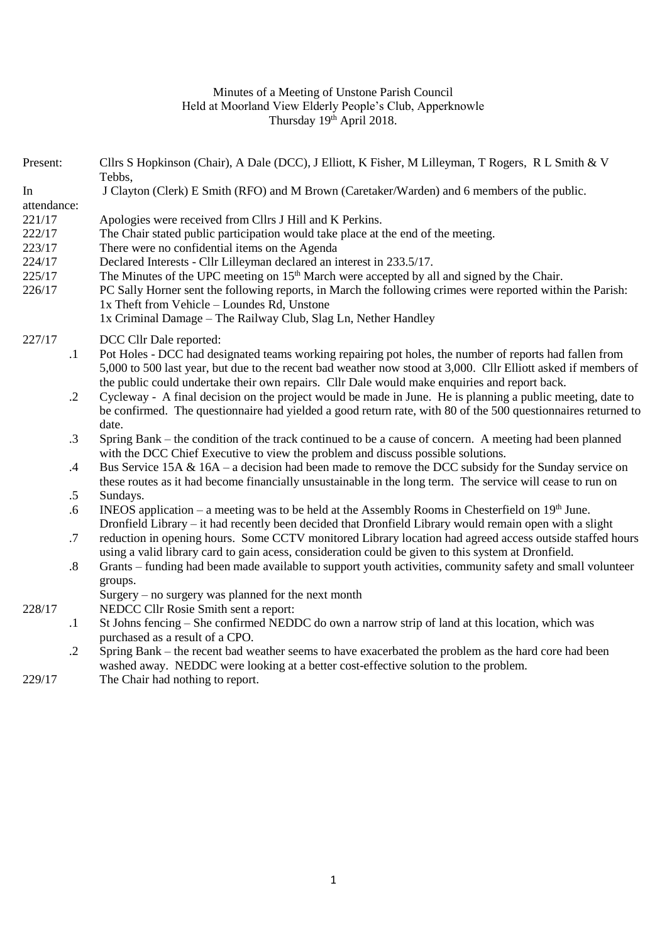### Minutes of a Meeting of Unstone Parish Council Held at Moorland View Elderly People's Club, Apperknowle Thursday 19<sup>th</sup> April 2018.

Present: Cllrs S Hopkinson (Chair), A Dale (DCC), J Elliott, K Fisher, M Lilleyman, T Rogers, R L Smith & V

|             |                   | Tebbs,                                                                                                                                                    |
|-------------|-------------------|-----------------------------------------------------------------------------------------------------------------------------------------------------------|
| In          |                   | J Clayton (Clerk) E Smith (RFO) and M Brown (Caretaker/Warden) and 6 members of the public.                                                               |
| attendance: |                   |                                                                                                                                                           |
| 221/17      |                   | Apologies were received from Cllrs J Hill and K Perkins.                                                                                                  |
| 222/17      |                   | The Chair stated public participation would take place at the end of the meeting.                                                                         |
| 223/17      |                   | There were no confidential items on the Agenda                                                                                                            |
| 224/17      |                   | Declared Interests - Cllr Lilleyman declared an interest in 233.5/17.                                                                                     |
| 225/17      |                   | The Minutes of the UPC meeting on 15 <sup>th</sup> March were accepted by all and signed by the Chair.                                                    |
| 226/17      |                   | PC Sally Horner sent the following reports, in March the following crimes were reported within the Parish:<br>1x Theft from Vehicle – Loundes Rd, Unstone |
|             |                   | 1x Criminal Damage - The Railway Club, Slag Ln, Nether Handley                                                                                            |
| 227/17      |                   | DCC Cllr Dale reported:                                                                                                                                   |
|             | $\cdot$ 1         | Pot Holes - DCC had designated teams working repairing pot holes, the number of reports had fallen from                                                   |
|             |                   | 5,000 to 500 last year, but due to the recent bad weather now stood at 3,000. Cllr Elliott asked if members of                                            |
|             |                   | the public could undertake their own repairs. Cllr Dale would make enquiries and report back.                                                             |
|             | $\cdot$ .2        | Cycleway - A final decision on the project would be made in June. He is planning a public meeting, date to                                                |
|             |                   | be confirmed. The questionnaire had yielded a good return rate, with 80 of the 500 questionnaires returned to                                             |
|             |                   | date.                                                                                                                                                     |
|             | $\cdot$ 3         | Spring Bank – the condition of the track continued to be a cause of concern. A meeting had been planned                                                   |
|             |                   | with the DCC Chief Executive to view the problem and discuss possible solutions.                                                                          |
|             | $.4\,$            | Bus Service 15A & 16A – a decision had been made to remove the DCC subsidy for the Sunday service on                                                      |
|             |                   | these routes as it had become financially unsustainable in the long term. The service will cease to run on                                                |
|             | $.5\,$            | Sundays.                                                                                                                                                  |
|             | .6                | INEOS application – a meeting was to be held at the Assembly Rooms in Chesterfield on $19th$ June.                                                        |
|             |                   | Dronfield Library – it had recently been decided that Dronfield Library would remain open with a slight                                                   |
|             | .7                | reduction in opening hours. Some CCTV monitored Library location had agreed access outside staffed hours                                                  |
|             |                   | using a valid library card to gain acess, consideration could be given to this system at Dronfield.                                                       |
|             | $\boldsymbol{.8}$ | Grants - funding had been made available to support youth activities, community safety and small volunteer                                                |
|             |                   | groups.                                                                                                                                                   |
| 228/17      |                   | Surgery $-$ no surgery was planned for the next month<br>NEDCC Cllr Rosie Smith sent a report:                                                            |
|             | $\cdot$           | St Johns fencing – She confirmed NEDDC do own a narrow strip of land at this location, which was                                                          |
|             |                   | purchased as a result of a CPO.                                                                                                                           |
|             | $\cdot$ .2        | Spring Bank – the recent bad weather seems to have exacerbated the problem as the hard core had been                                                      |
|             |                   | washed away. NEDDC were looking at a better cost-effective solution to the problem.                                                                       |

229/17 The Chair had nothing to report.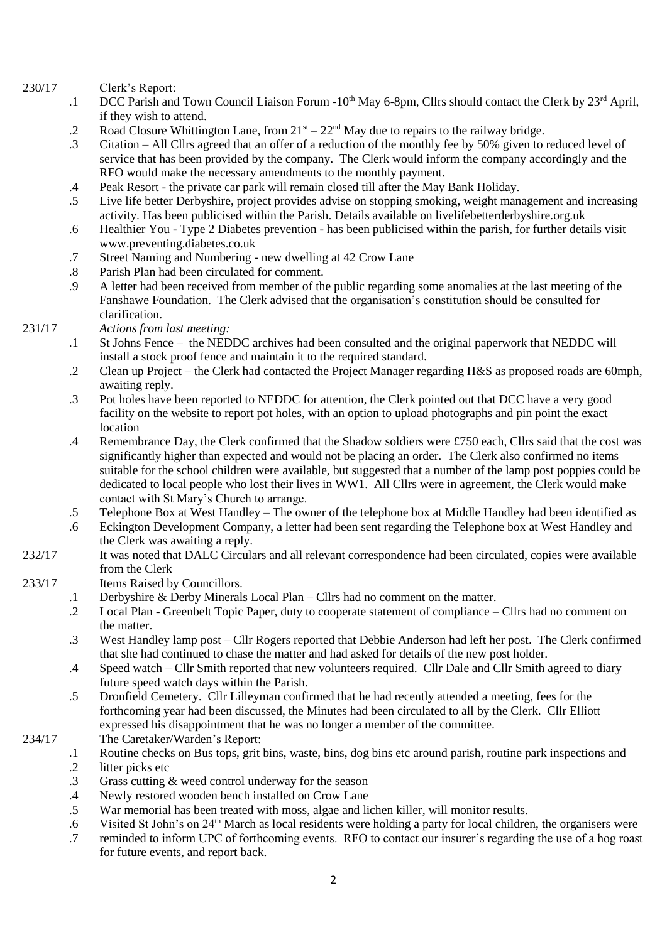#### 230/17 Clerk's Report:

- .1 DCC Parish and Town Council Liaison Forum -10<sup>th</sup> May 6-8pm, Cllrs should contact the Clerk by 23<sup>rd</sup> April, if they wish to attend.
- .2 Road Closure Whittington Lane, from  $21<sup>st</sup> - 22<sup>nd</sup>$  May due to repairs to the railway bridge.
- .3 Citation – All Cllrs agreed that an offer of a reduction of the monthly fee by 50% given to reduced level of service that has been provided by the company. The Clerk would inform the company accordingly and the RFO would make the necessary amendments to the monthly payment.
- .4 Peak Resort - the private car park will remain closed till after the May Bank Holiday.
- .5 Live life better Derbyshire, project provides advise on stopping smoking, weight management and increasing activity. Has been publicised within the Parish. Details available on livelifebetterderbyshire.org.uk
- .6 Healthier You - Type 2 Diabetes prevention - has been publicised within the parish, for further details visit www.preventing.diabetes.co.uk
- .7 Street Naming and Numbering - new dwelling at 42 Crow Lane
- .8 Parish Plan had been circulated for comment.
- .9 A letter had been received from member of the public regarding some anomalies at the last meeting of the Fanshawe Foundation. The Clerk advised that the organisation's constitution should be consulted for clarification.

# *Actions from last meeting:*

231/17

- .1 St Johns Fence – the NEDDC archives had been consulted and the original paperwork that NEDDC will install a stock proof fence and maintain it to the required standard.
- .2 Clean up Project – the Clerk had contacted the Project Manager regarding H&S as proposed roads are 60mph, awaiting reply.
- .3 Pot holes have been reported to NEDDC for attention, the Clerk pointed out that DCC have a very good facility on the website to report pot holes, with an option to upload photographs and pin point the exact location
- .4 Remembrance Day, the Clerk confirmed that the Shadow soldiers were £750 each, Cllrs said that the cost was significantly higher than expected and would not be placing an order. The Clerk also confirmed no items suitable for the school children were available, but suggested that a number of the lamp post poppies could be dedicated to local people who lost their lives in WW1. All Cllrs were in agreement, the Clerk would make contact with St Mary's Church to arrange.
- .5 Telephone Box at West Handley – The owner of the telephone box at Middle Handley had been identified as
- .6 Eckington Development Company, a letter had been sent regarding the Telephone box at West Handley and the Clerk was awaiting a reply.
- 232/17 It was noted that DALC Circulars and all relevant correspondence had been circulated, copies were available from the Clerk

# 233/17 Items Raised by Councillors.

- .1 Derbyshire & Derby Minerals Local Plan Cllrs had no comment on the matter.
- .2 Local Plan Greenbelt Topic Paper, duty to cooperate statement of compliance Cllrs had no comment on the matter.
- .3 West Handley lamp post Cllr Rogers reported that Debbie Anderson had left her post. The Clerk confirmed that she had continued to chase the matter and had asked for details of the new post holder.
- .4 Speed watch Cllr Smith reported that new volunteers required. Cllr Dale and Cllr Smith agreed to diary future speed watch days within the Parish.
- .5 Dronfield Cemetery. Cllr Lilleyman confirmed that he had recently attended a meeting, fees for the forthcoming year had been discussed, the Minutes had been circulated to all by the Clerk. Cllr Elliott expressed his disappointment that he was no longer a member of the committee.

#### 234/17 The Caretaker/Warden's Report:

- .1 .2 Routine checks on Bus tops, grit bins, waste, bins, dog bins etc around parish, routine park inspections and litter picks etc
- .3
- .4 Grass cutting & weed control underway for the season Newly restored wooden bench installed on Crow Lane
- .5 War memorial has been treated with moss, algae and lichen killer, will monitor results.
- .6 Visited St John's on 24th March as local residents were holding a party for local children, the organisers were
- .7 reminded to inform UPC of forthcoming events. RFO to contact our insurer's regarding the use of a hog roast for future events, and report back.